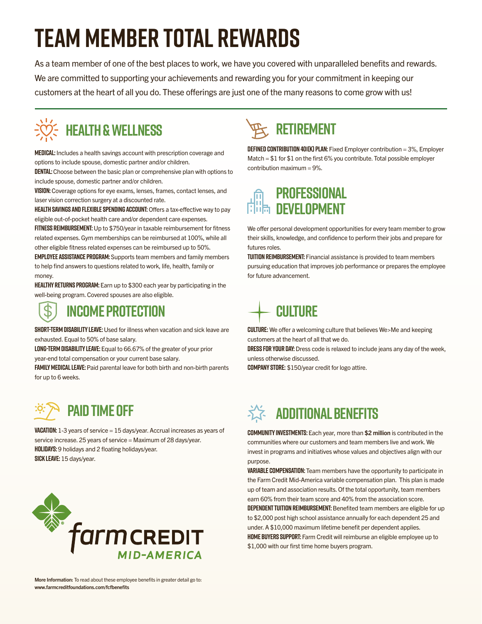# **Team Member Total Rewards**

As a team member of one of the best places to work, we have you covered with unparalleled benefits and rewards. We are committed to supporting your achievements and rewarding you for your commitment in keeping our customers at the heart of all you do. These offerings are just one of the many reasons to come grow with us!

# **Health & Wellness**

**Medical:** Includes a health savings account with prescription coverage and options to include spouse, domestic partner and/or children.

**DENTAL:** Choose between the basic plan or comprehensive plan with options to include spouse, domestic partner and/or children.

**Vision:** Coverage options for eye exams, lenses, frames, contact lenses, and laser vision correction surgery at a discounted rate.

**HEALTH SAVINGS AND FLEXIBLE SPENDING ACCOUNT:** Offers a tax-effective way to pay eligible out-of-pocket health care and/or dependent care expenses.

**Fitness Reimbursement:** Up to \$750/year in taxable reimbursement for fitness related expenses. Gym memberships can be reimbursed at 100%, while all other eligible fitness related expenses can be reimbursed up to 50%.

**Employee Assistance Program:** Supports team members and family members to help find answers to questions related to work, life, health, family or money.

**Healthy Returns Program:** Earn up to \$300 each year by participating in the well-being program. Covered spouses are also eligible.

## **Income Protection**

**Short-Term Disability Leave:** Used for illness when vacation and sick leave are exhausted. Equal to 50% of base salary.

**Long-Term Disability Leave:** Equal to 66.67% of the greater of your prior year-end total compensation or your current base salary.

**Family Medical Leave:** Paid parental leave for both birth and non-birth parents for up to 6 weeks.

# **Paid Time Off**

**Vacation:** 1-3 years of service = 15 days/year. Accrual increases as years of service increase. 25 years of service = Maximum of 28 days/year. **Holidays:** 9 holidays and 2 floating holidays/year. **Sick Leave:** 15 days/year.



# **Retirement**

**Defined Contribution 401(k) Plan:** Fixed Employer contribution = 3%, Employer Match = \$1 for \$1 on the first 6% you contribute. Total possible employer contribution maximum = 9%.



We offer personal development opportunities for every team member to grow their skills, knowledge, and confidence to perform their jobs and prepare for futures roles.

**Tuition Reimbursement:** Financial assistance is provided to team members pursuing education that improves job performance or prepares the employee for future advancement.

## **Culture**

**CULTURE:** We offer a welcoming culture that believes We>Me and keeping customers at the heart of all that we do.

**Dress For Your Day:** Dress code is relaxed to include jeans any day of the week, unless otherwise discussed.

**Company Store:** \$150/year credit for logo attire.

## **Additional Benefits**

**Community Investments:** Each year, more than \$2 million is contributed in the communities where our customers and team members live and work. We invest in programs and initiatives whose values and objectives align with our purpose.

**Variable Compensation:** Team members have the opportunity to participate in the Farm Credit Mid-America variable compensation plan. This plan is made up of team and association results. Of the total opportunity, team members earn 60% from their team score and 40% from the association score. **Dependent Tuition Reimbursement:** Benefited team members are eligible for up

to \$2,000 post high school assistance annually for each dependent 25 and under. A \$10,000 maximum lifetime benefit per dependent applies. **Home Buyers Support:** Farm Credit will reimburse an eligible employee up to \$1,000 with our first time home buyers program.

More Information: To read about these employee benefits in greater detail go to: www.farmcreditfoundations.com/fcfbenefits